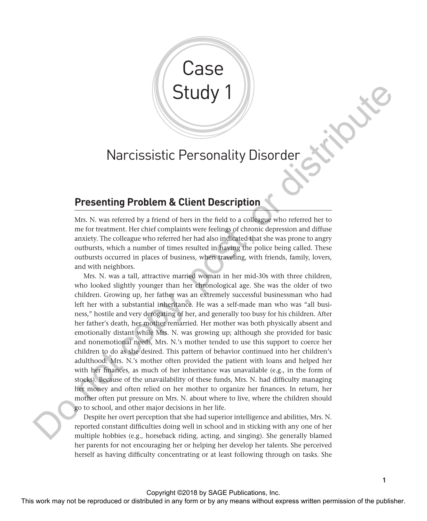# Case Study 1

## Narcissistic Personality Disorder

## **Presenting Problem & Client Description**

Mrs. N. was referred by a friend of hers in the field to a colleague who referred her to me for treatment. Her chief complaints were feelings of chronic depression and diffuse anxiety. The colleague who referred her had also indicated that she was prone to angry outbursts, which a number of times resulted in having the police being called. These outbursts occurred in places of business, when traveling, with friends, family, lovers, and with neighbors.

Mrs. N. was a tall, attractive married woman in her mid-30s with three children, who looked slightly younger than her chronological age. She was the older of two children. Growing up, her father was an extremely successful businessman who had left her with a substantial inheritance. He was a self-made man who was "all business," hostile and very derogating of her, and generally too busy for his children. After her father's death, her mother remarried. Her mother was both physically absent and emotionally distant while Mrs. N. was growing up; although she provided for basic and nonemotional needs, Mrs. N.'s mother tended to use this support to coerce her children to do as she desired. This pattern of behavior continued into her children's adulthood. Mrs. N.'s mother often provided the patient with loans and helped her with her finances, as much of her inheritance was unavailable (e.g., in the form of stocks). Because of the unavailability of these funds, Mrs. N. had difficulty managing her money and often relied on her mother to organize her finances. In return, her mother often put pressure on Mrs. N. about where to live, where the children should go to school, and other major decisions in her life. **Study 1**<br> **Study 1**<br> **Description**<br> **Description**<br> **Description**<br> **Description**<br> **Description**<br> **DESCRIP RESONATE ASSES (THE DESCRIPTION**<br> **DESCRIP TO THE CONSERVATE ASSES** (THE CONSERVATE AND A stribute and the star ter

Despite her overt perception that she had superior intelligence and abilities, Mrs. N. reported constant difficulties doing well in school and in sticking with any one of her multiple hobbies (e.g., horseback riding, acting, and singing). She generally blamed her parents for not encouraging her or helping her develop her talents. She perceived herself as having difficulty concentrating or at least following through on tasks. She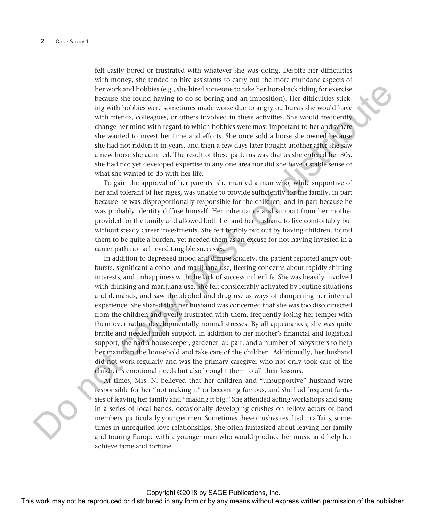felt easily bored or frustrated with whatever she was doing. Despite her difficulties with money, she tended to hire assistants to carry out the more mundane aspects of her work and hobbies (e.g., she hired someone to take her horseback riding for exercise because she found having to do so boring and an imposition). Her difficulties sticking with hobbies were sometimes made worse due to angry outbursts she would have with friends, colleagues, or others involved in these activities. She would frequently change her mind with regard to which hobbies were most important to her and where she wanted to invest her time and efforts. She once sold a horse she owned because she had not ridden it in years, and then a few days later bought another after she saw a new horse she admired. The result of these patterns was that as she entered her 30s, she had not yet developed expertise in any one area nor did she have a stable sense of what she wanted to do with her life.

To gain the approval of her parents, she married a man who, while supportive of her and tolerant of her rages, was unable to provide sufficiently for the family, in part because he was disproportionally responsible for the children, and in part because he was probably identity diffuse himself. Her inheritance and support from her mother provided for the family and allowed both her and her husband to live comfortably but without steady career investments. She felt terribly put out by having children, found them to be quite a burden, yet needed them as an excuse for not having invested in a career path nor achieved tangible successes.

In addition to depressed mood and diffuse anxiety, the patient reported angry outbursts, significant alcohol and marijuana use, fleeting concerns about rapidly shifting interests, and unhappiness with the lack of success in her life. She was heavily involved with drinking and marijuana use. She felt considerably activated by routine situations and demands, and saw the alcohol and drug use as ways of dampening her internal experience. She shared that her husband was concerned that she was too disconnected from the children and overly frustrated with them, frequently losing her temper with them over rather developmentally normal stresses. By all appearances, she was quite brittle and needed much support. In addition to her mother's financial and logistical support, she had a housekeeper, gardener, au pair, and a number of babysitters to help her maintain the household and take care of the children. Additionally, her husband did not work regularly and was the primary caregiver who not only took care of the children's emotional needs but also brought them to all their lessons. he work and hobits (e.g., the hird contours to take he howest similarly or searches the posterior and with the<br>dots are because the bulk the state in the state of the state in the<br>dots were sometimes made worse det to any

At times, Mrs. N. believed that her children and "unsupportive" husband were responsible for her "not making it" or becoming famous, and she had frequent fantasies of leaving her family and "making it big." She attended acting workshops and sang in a series of local bands, occasionally developing crushes on fellow actors or band members, particularly younger men. Sometimes these crushes resulted in affairs, sometimes in unrequited love relationships. She often fantasized about leaving her family and touring Europe with a younger man who would produce her music and help her achieve fame and fortune.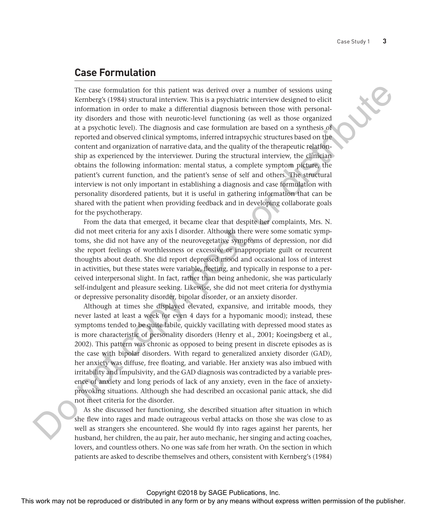### **Case Formulation**

The case formulation for this patient was derived over a number of sessions using Kernberg's (1984) structural interview. This is a psychiatric interview designed to elicit information in order to make a differential diagnosis between those with personality disorders and those with neurotic-level functioning (as well as those organized at a psychotic level). The diagnosis and case formulation are based on a synthesis of reported and observed clinical symptoms, inferred intrapsychic structures based on the content and organization of narrative data, and the quality of the therapeutic relationship as experienced by the interviewer. During the structural interview, the clinician obtains the following information: mental status, a complete symptom picture, the patient's current function, and the patient's sense of self and others. The structural interview is not only important in establishing a diagnosis and case formulation with personality disordered patients, but it is useful in gathering information that can be shared with the patient when providing feedback and in developing collaborate goals for the psychotherapy. The case formulation for this patient was derived over a mature<br>of non-distribution in order to describute the state of the state of the<br>state of the state of the state of the state and those with mention as<br>determined to

From the data that emerged, it became clear that despite her complaints, Mrs. N. did not meet criteria for any axis I disorder. Although there were some somatic symptoms, she did not have any of the neurovegetative symptoms of depression, nor did she report feelings of worthlessness or excessive or inappropriate guilt or recurrent thoughts about death. She did report depressed mood and occasional loss of interest in activities, but these states were variable, fleeting, and typically in response to a perceived interpersonal slight. In fact, rather than being anhedonic, she was particularly self-indulgent and pleasure seeking. Likewise, she did not meet criteria for dysthymia or depressive personality disorder, bipolar disorder, or an anxiety disorder.

Although at times she displayed elevated, expansive, and irritable moods, they never lasted at least a week (or even 4 days for a hypomanic mood); instead, these symptoms tended to be quite labile, quickly vacillating with depressed mood states as is more characteristic of personality disorders (Henry et al., 2001; Koeingsberg et al., 2002). This pattern was chronic as opposed to being present in discrete episodes as is the case with bipolar disorders. With regard to generalized anxiety disorder (GAD), her anxiety was diffuse, free floating, and variable. Her anxiety was also imbued with irritability and impulsivity, and the GAD diagnosis was contradicted by a variable presence of anxiety and long periods of lack of any anxiety, even in the face of anxietyprovoking situations. Although she had described an occasional panic attack, she did not meet criteria for the disorder.

As she discussed her functioning, she described situation after situation in which she flew into rages and made outrageous verbal attacks on those she was close to as well as strangers she encountered. She would fly into rages against her parents, her husband, her children, the au pair, her auto mechanic, her singing and acting coaches, lovers, and countless others. No one was safe from her wrath. On the section in which patients are asked to describe themselves and others, consistent with Kernberg's (1984)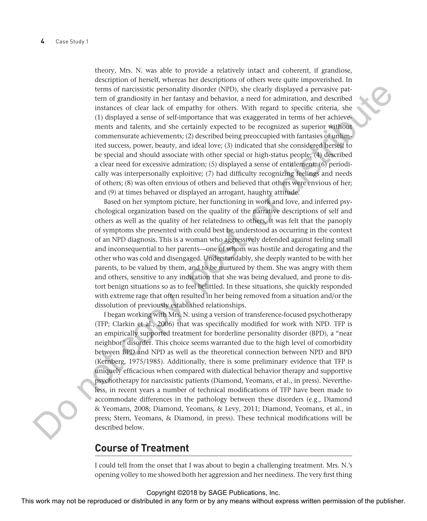theory, Mrs. N. was able to provide a relatively intact and coherent, if grandiose, description of herself, whereas her descriptions of others were quite impoverished. In terms of narcissistic personality disorder (NPD), she clearly displayed a pervasive pattern of grandiosity in her fantasy and behavior, a need for admiration, and described instances of clear lack of empathy for others. With regard to specific criteria, she (1) displayed a sense of self-importance that was exaggerated in terms of her achievements and talents, and she certainly expected to be recognized as superior without commensurate achievements; (2) described being preoccupied with fantasies of unlimited success, power, beauty, and ideal love; (3) indicated that she considered herself to be special and should associate with other special or high-status people; (4) described a clear need for excessive admiration; (5) displayed a sense of entitlement; (6) periodically was interpersonally exploitive; (7) had difficulty recognizing feelings and needs of others; (8) was often envious of others and believed that others were envious of her; and (9) at times behaved or displayed an arrogant, haughty attitude.

Based on her symptom picture, her functioning in work and love, and inferred psychological organization based on the quality of the narrative descriptions of self and others as well as the quality of her relatedness to others, it was felt that the panoply of symptoms she presented with could best be understood as occurring in the context of an NPD diagnosis. This is a woman who aggressively defended against feeling small and inconsequential to her parents—one of whom was hostile and derogating and the other who was cold and disengaged. Understandably, she deeply wanted to be with her parents, to be valued by them, and to be nurtured by them. She was angry with them and others, sensitive to any indication that she was being devalued, and prone to distort benign situations so as to feel belittled. In these situations, she quickly responded with extreme rage that often resulted in her being removed from a situation and/or the dissolution of previously established relationships.

I began working with Mrs. N. using a version of transference-focused psychotherapy (TFP; Clarkin et al., 2006) that was specifically modified for work with NPD. TFP is an empirically supported treatment for borderline personality disorder (BPD), a "near neighbor" disorder. This choice seems warranted due to the high level of comorbidity between BPD and NPD as well as the theoretical connection between NPD and BPD (Kernberg, 1975/1985). Additionally, there is some preliminary evidence that TFP is uniquely efficacious when compared with dialectical behavior therapy and supportive psychotherapy for narcissistic patients (Diamond, Yeomans, et al., in press). Nevertheless, in recent years a number of technical modifications of TFP have been made to accommodate differences in the pathology between these disorders (e.g., Diamond & Yeomans, 2008; Diamond, Yeomans, & Levy, 2011; Diamond, Yeomans, et al., in press; Stern, Yeomans, & Diamond, in press). These technical modifications will be described below. terms of narricular peronality disorder (NPD), the classive distribution in equilibution in the station of terms in terms of the minimization of the minimization of the minimization of the minimization of the minimization

## **Course of Treatment**

I could tell from the onset that I was about to begin a challenging treatment. Mrs. N.'s opening volley to me showed both her aggression and her neediness. The very first thing

Copyright ©2018 by SAGE Publications, Inc.

This work may not be reproduced or distributed in any form or by any means without express written permission of the publisher.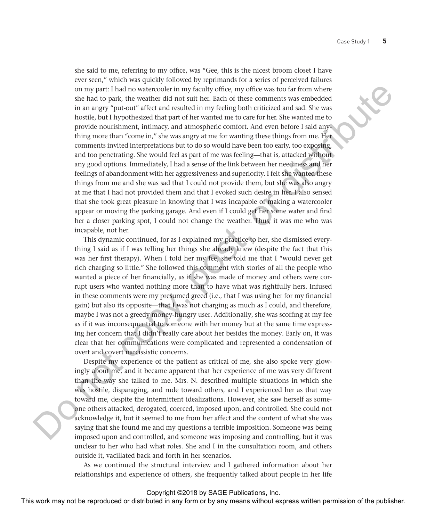she said to me, referring to my office, was "Gee, this is the nicest broom closet I have ever seen," which was quickly followed by reprimands for a series of perceived failures on my part: I had no watercooler in my faculty office, my office was too far from where she had to park, the weather did not suit her. Each of these comments was embedded in an angry "put-out" affect and resulted in my feeling both criticized and sad. She was hostile, but I hypothesized that part of her wanted me to care for her. She wanted me to provide nourishment, intimacy, and atmospheric comfort. And even before I said anything more than "come in," she was angry at me for wanting these things from me. Her comments invited interpretations but to do so would have been too early, too exposing, and too penetrating. She would feel as part of me was feeling—that is, attacked without any good options. Immediately, I had a sense of the link between her neediness and her feelings of abandonment with her aggressiveness and superiority. I felt she wanted these things from me and she was sad that I could not provide them, but she was also angry at me that I had not provided them and that I evoked such desire in her. I also sensed that she took great pleasure in knowing that I was incapable of making a watercooler appear or moving the parking garage. And even if I could get her some water and find her a closer parking spot, I could not change the weather. Thus, it was me who was incapable, not her. on my part: That in o with reconstraintly after, my office, my of the means that the security is the main any particular that the security in the security between the main any particular that the security between the main

This dynamic continued, for as I explained my practice to her, she dismissed everything I said as if I was telling her things she already knew (despite the fact that this was her first therapy). When I told her my fee, she told me that I "would never get rich charging so little." She followed this comment with stories of all the people who wanted a piece of her financially, as if she was made of money and others were corrupt users who wanted nothing more than to have what was rightfully hers. Infused in these comments were my presumed greed (i.e., that I was using her for my financial gain) but also its opposite—that I was not charging as much as I could, and therefore, maybe I was not a greedy money-hungry user. Additionally, she was scoffing at my fee as if it was inconsequential to someone with her money but at the same time expressing her concern that I didn't really care about her besides the money. Early on, it was clear that her communications were complicated and represented a condensation of overt and covert narcissistic concerns.

Despite my experience of the patient as critical of me, she also spoke very glowingly about me, and it became apparent that her experience of me was very different than the way she talked to me. Mrs. N. described multiple situations in which she was hostile, disparaging, and rude toward others, and I experienced her as that way toward me, despite the intermittent idealizations. However, she saw herself as someone others attacked, derogated, coerced, imposed upon, and controlled. She could not acknowledge it, but it seemed to me from her affect and the content of what she was saying that she found me and my questions a terrible imposition. Someone was being imposed upon and controlled, and someone was imposing and controlling, but it was unclear to her who had what roles. She and I in the consultation room, and others outside it, vacillated back and forth in her scenarios.

As we continued the structural interview and I gathered information about her relationships and experience of others, she frequently talked about people in her life

#### Copyright ©2018 by SAGE Publications, Inc.

This work may not be reproduced or distributed in any form or by any means without express written permission of the publisher.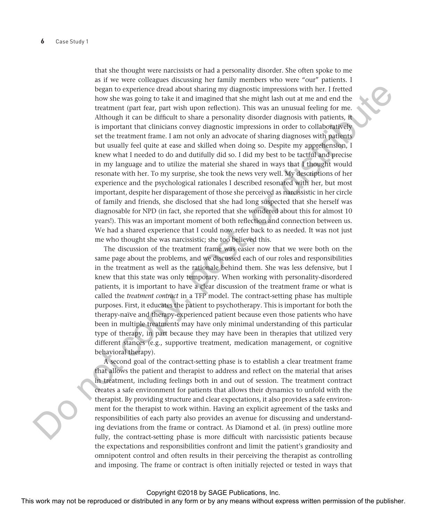that she thought were narcissists or had a personality disorder. She often spoke to me as if we were colleagues discussing her family members who were "our" patients. I began to experience dread about sharing my diagnostic impressions with her. I fretted how she was going to take it and imagined that she might lash out at me and end the treatment (part fear, part wish upon reflection). This was an unusual feeling for me. Although it can be difficult to share a personality disorder diagnosis with patients, it is important that clinicians convey diagnostic impressions in order to collaboratively set the treatment frame. I am not only an advocate of sharing diagnoses with patients but usually feel quite at ease and skilled when doing so. Despite my apprehension, I knew what I needed to do and dutifully did so. I did my best to be tactful and precise in my language and to utilize the material she shared in ways that I thought would resonate with her. To my surprise, she took the news very well. My descriptions of her experience and the psychological rationales I described resonated with her, but most important, despite her disparagement of those she perceived as narcissistic in her circle of family and friends, she disclosed that she had long suspected that she herself was diagnosable for NPD (in fact, she reported that she wondered about this for almost 10 years!). This was an important moment of both reflection and connection between us. We had a shared experience that I could now refer back to as needed. It was not just me who thought she was narcissistic; she too believed this. began to experience dend about sharing we diagnostic impressions with heat. If include the two spins to the interest contract that the main term in the same that the same that the same that the same that the same that the

The discussion of the treatment frame was easier now that we were both on the same page about the problems, and we discussed each of our roles and responsibilities in the treatment as well as the rationale behind them. She was less defensive, but I knew that this state was only temporary. When working with personality-disordered patients, it is important to have a clear discussion of the treatment frame or what is called the *treatment contract* in a TFP model. The contract-setting phase has multiple purposes. First, it educates the patient to psychotherapy. This is important for both the therapy-naïve and therapy-experienced patient because even those patients who have been in multiple treatments may have only minimal understanding of this particular type of therapy, in part because they may have been in therapies that utilized very different stances (e.g., supportive treatment, medication management, or cognitive behavioral therapy).

A second goal of the contract-setting phase is to establish a clear treatment frame that allows the patient and therapist to address and reflect on the material that arises in treatment, including feelings both in and out of session. The treatment contract creates a safe environment for patients that allows their dynamics to unfold with the therapist. By providing structure and clear expectations, it also provides a safe environment for the therapist to work within. Having an explicit agreement of the tasks and responsibilities of each party also provides an avenue for discussing and understanding deviations from the frame or contract. As Diamond et al. (in press) outline more fully, the contract-setting phase is more difficult with narcissistic patients because the expectations and responsibilities confront and limit the patient's grandiosity and omnipotent control and often results in their perceiving the therapist as controlling and imposing. The frame or contract is often initially rejected or tested in ways that

#### Copyright ©2018 by SAGE Publications, Inc.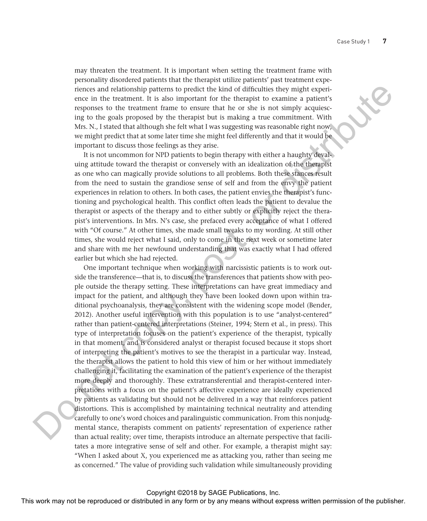may threaten the treatment. It is important when setting the treatment frame with personality disordered patients that the therapist utilize patients' past treatment experiences and relationship patterns to predict the kind of difficulties they might experience in the treatment. It is also important for the therapist to examine a patient's responses to the treatment frame to ensure that he or she is not simply acquiescing to the goals proposed by the therapist but is making a true commitment. With Mrs. N., I stated that although she felt what I was suggesting was reasonable right now, we might predict that at some later time she might feel differently and that it would be important to discuss those feelings as they arise.

It is not uncommon for NPD patients to begin therapy with either a haughty devaluing attitude toward the therapist or conversely with an idealization of the therapist as one who can magically provide solutions to all problems. Both these stances result from the need to sustain the grandiose sense of self and from the envy the patient experiences in relation to others. In both cases, the patient envies the therapist's functioning and psychological health. This conflict often leads the patient to devalue the therapist or aspects of the therapy and to either subtly or explicitly reject the therapist's interventions. In Mrs. N's case, she prefaced every acceptance of what I offered with "Of course." At other times, she made small tweaks to my wording. At still other times, she would reject what I said, only to come in the next week or sometime later and share with me her newfound understanding that was exactly what I had offered earlier but which she had rejected.

One important technique when working with narcissistic patients is to work outside the transference—that is, to discuss the transferences that patients show with people outside the therapy setting. These interpretations can have great immediacy and impact for the patient, and although they have been looked down upon within traditional psychoanalysis, they are consistent with the widening scope model (Bender, 2012). Another useful intervention with this population is to use "analyst-centered" rather than patient-centered interpretations (Steiner, 1994; Stern et al., in press). This type of interpretation focuses on the patient's experience of the therapist, typically in that moment, and is considered analyst or therapist focused because it stops short of interpreting the patient's motives to see the therapist in a particular way. Instead, the therapist allows the patient to hold this view of him or her without immediately challenging it, facilitating the examination of the patient's experience of the therapist more deeply and thoroughly. These extratransferential and therapist-centered interpretations with a focus on the patient's affective experience are ideally experienced by patients as validating but should not be delivered in a way that reinforces patient distortions. This is accomplished by maintaining technical neutrality and attending carefully to one's word choices and paralinguistic communication. From this nonjudgmental stance, therapists comment on patients' representation of experience rather than actual reality; over time, therapists introduce an alternate perspective that facilitates a more integrative sense of self and other. For example, a therapist might say: "When I asked about X, you experienced me as attacking you, rather than seeing me as concerned." The value of providing such validation while simultaneously providing increases and estimated the hard of infrastration particle the kind of diffraction there were the theorem at the text of the content of the content of the content of the content of the content of the state in the state is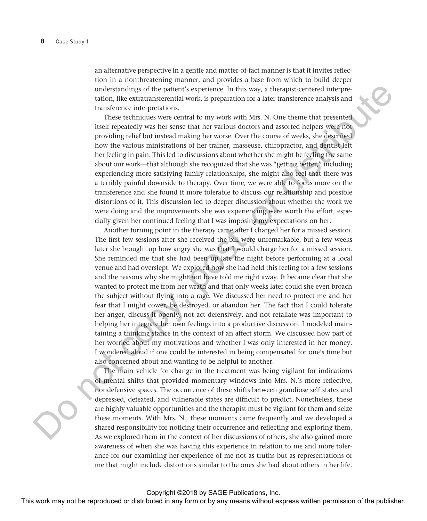an alternative perspective in a gentle and matter-of-fact manner is that it invites reflection in a nonthreatening manner, and provides a base from which to build deeper understandings of the patient's experience. In this way, a therapist-centered interpretation, like extratransferential work, is preparation for a later transference analysis and transference interpretations.

These techniques were central to my work with Mrs. N. One theme that presented itself repeatedly was her sense that her various doctors and assorted helpers were not providing relief but instead making her worse. Over the course of weeks, she described how the various ministrations of her trainer, masseuse, chiropractor, and dentist left her feeling in pain. This led to discussions about whether she might be feeling the same about our work—that although she recognized that she was "getting better," including experiencing more satisfying family relationships, she might also feel that there was a terribly painful downside to therapy. Over time, we were able to focus more on the transference and she found it more tolerable to discuss our relationship and possible distortions of it. This discussion led to deeper discussion about whether the work we were doing and the improvements she was experiencing were worth the effort, especially given her continued feeling that I was imposing my expectations on her.

Another turning point in the therapy came after I charged her for a missed session. The first few sessions after she received the bill were unremarkable, but a few weeks later she brought up how angry she was that I would charge her for a missed session. She reminded me that she had been up late the night before performing at a local venue and had overslept. We explored how she had held this feeling for a few sessions and the reasons why she might not have told me right away. It became clear that she wanted to protect me from her wrath and that only weeks later could she even broach the subject without flying into a rage. We discussed her need to protect me and her fear that I might cower, be destroyed, or abandon her. The fact that I could tolerate her anger, discuss it openly, not act defensively, and not retaliate was important to helping her integrate her own feelings into a productive discussion. I modeled maintaining a thinking stance in the context of an affect storm. We discussed how part of her worried about my motivations and whether I was only interested in her money. I wondered aloud if one could be interested in being compensated for one's time but also concerned about and wanting to be helpful to another. understanding and the patient) experience, In this way, a freepricatented interpret<br>signal matrix and the patient signal matrix and the symmetric matrix and the matrix and the matrix controlled interpret<br>interpret interpr

The main vehicle for change in the treatment was being vigilant for indications of mental shifts that provided momentary windows into Mrs. N.'s more reflective, nondefensive spaces. The occurrence of these shifts between grandiose self states and depressed, defeated, and vulnerable states are difficult to predict. Nonetheless, these are highly valuable opportunities and the therapist must be vigilant for them and seize these moments. With Mrs. N., these moments came frequently and we developed a shared responsibility for noticing their occurrence and reflecting and exploring them. As we explored them in the context of her discussions of others, she also gained more awareness of when she was having this experience in relation to me and more tolerance for our examining her experience of me not as truths but as representations of me that might include distortions similar to the ones she had about others in her life.

#### Copyright ©2018 by SAGE Publications, Inc.

This work may not be reproduced or distributed in any form or by any means without express written permission of the publisher.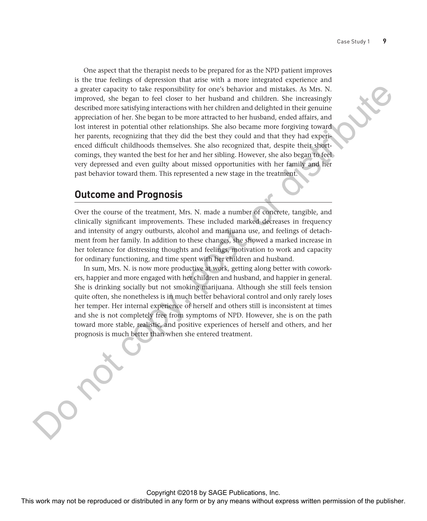One aspect that the therapist needs to be prepared for as the NPD patient improves is the true feelings of depression that arise with a more integrated experience and a greater capacity to take responsibility for one's behavior and mistakes. As Mrs. N. improved, she began to feel closer to her husband and children. She increasingly described more satisfying interactions with her children and delighted in their genuine appreciation of her. She began to be more attracted to her husband, ended affairs, and lost interest in potential other relationships. She also became more forgiving toward her parents, recognizing that they did the best they could and that they had experienced difficult childhoods themselves. She also recognized that, despite their shortcomings, they wanted the best for her and her sibling. However, she also began to feel very depressed and even guilty about missed opportunities with her family and her past behavior toward them. This represented a new stage in the treatment. a genter capacity to ske responsibility for one for behavior and missions. As Mrs. N.<br>
improved, since behavior and mission channel and children. Since increasingly<br>described more consisting that the points of the signar

#### **Outcome and Prognosis**

Over the course of the treatment, Mrs. N. made a number of concrete, tangible, and clinically significant improvements. These included marked decreases in frequency and intensity of angry outbursts, alcohol and marijuana use, and feelings of detachment from her family. In addition to these changes, she showed a marked increase in her tolerance for distressing thoughts and feelings, motivation to work and capacity for ordinary functioning, and time spent with her children and husband.

In sum, Mrs. N. is now more productive at work, getting along better with coworkers, happier and more engaged with her children and husband, and happier in general. She is drinking socially but not smoking marijuana. Although she still feels tension quite often, she nonetheless is in much better behavioral control and only rarely loses her temper. Her internal experience of herself and others still is inconsistent at times and she is not completely free from symptoms of NPD. However, she is on the path toward more stable, realistic, and positive experiences of herself and others, and her prognosis is much better than when she entered treatment.